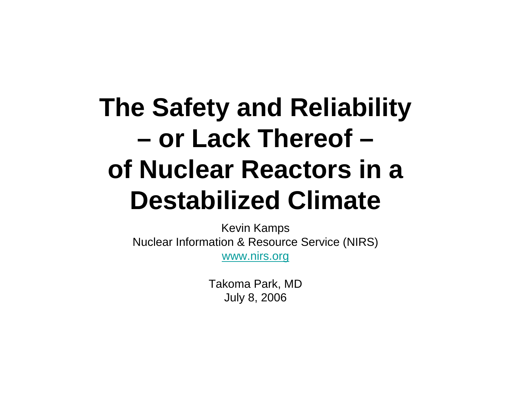## **The Safety and Reliability or Lack Thereof –of Nuclear Reactors in a Destabilized Climate**

Kevin Kamps Nuclear Information & Resource Service (NIRS) www.nirs.org

> Takoma Park, MD July 8, 2006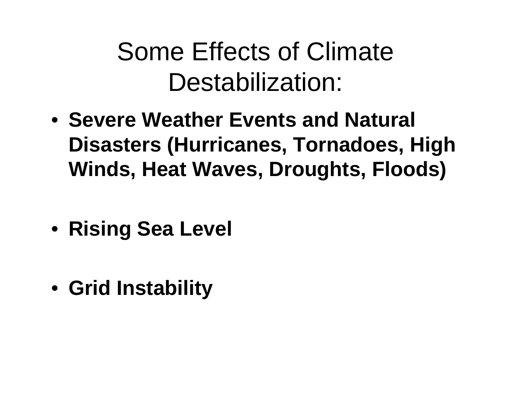#### Some Effects of Climate Destabilization:

- **Severe Weather Events and Natural Disasters (Hurricanes, Tornadoes, High Winds, Heat Waves, Droughts, Floods)**
- **Rising Sea Level**
- **Grid Instability**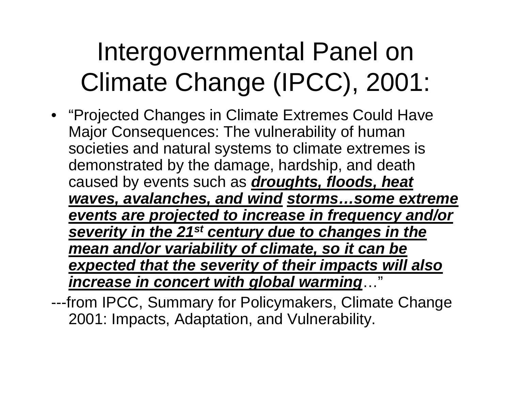## Intergovernmental Panel on Climate Change (IPCC), 2001:

- "Projected Changes in Climate Extremes Could Have Major Consequences: The vulnerability of human societies and natural systems to climate extremes is demonstrated by the damage, hardship, and death caused by events such as *droughts, floods, heat waves, avalanches, and wind storms…some extreme events are projected to increase in frequency and/or severity in the 21st century due to changes in the mean and/or variability of climate, so it can be expected that the severity of their impacts will also increase in concert with global warming*…"
- ---from IPCC, Summary for Policymakers, Climate Change 2001: Impacts, Adaptation, and Vulnerability.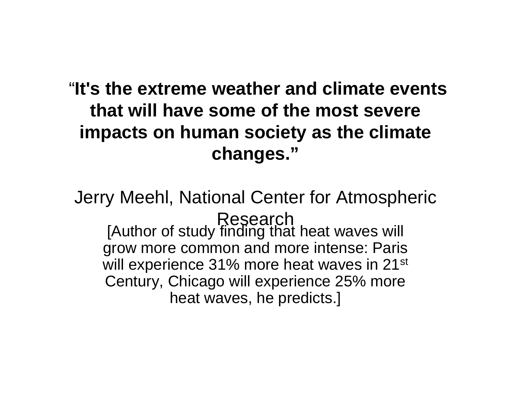#### "**It's the extreme weather and climate events that will have some of the most severe impacts on human society as the climate changes."**

Jerry Meehl, National Center for Atmospheric Research [Author of study finding that heat waves will grow more common and more intense: Paris will experience 31% more heat waves in 21<sup>st</sup> Century, Chicago will experience 25% more heat waves, he predicts.]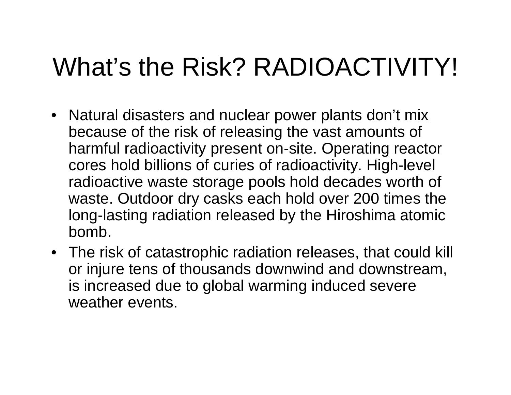#### What's the Risk? RADIOACTIVITY!

- Natural disasters and nuclear power plants don't mix because of the risk of releasing the vast amounts of harmful radioactivity present on-site. Operating reactor cores hold billions of curies of radioactivity. High-level radioactive waste storage pools hold decades worth of waste. Outdoor dry casks each hold over 200 times the long-lasting radiation released by the Hiroshima atomic bomb.
- The risk of catastrophic radiation releases, that could kill or injure tens of thousands downwind and downstream, is increased due to global warming induced severe weather events.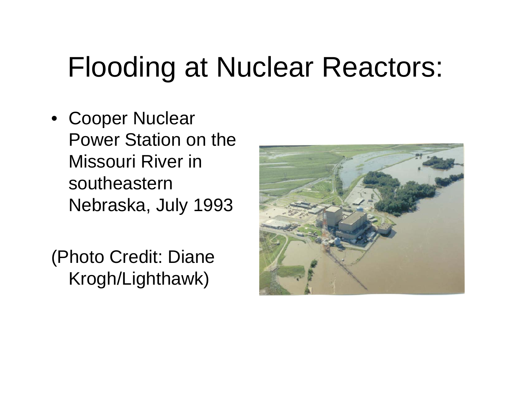## Flooding at Nuclear Reactors:

• Cooper Nuclear Power Station on the Missouri River in southeastern Nebraska, July 1993

(Photo Credit: Diane Krogh/Lighthawk)

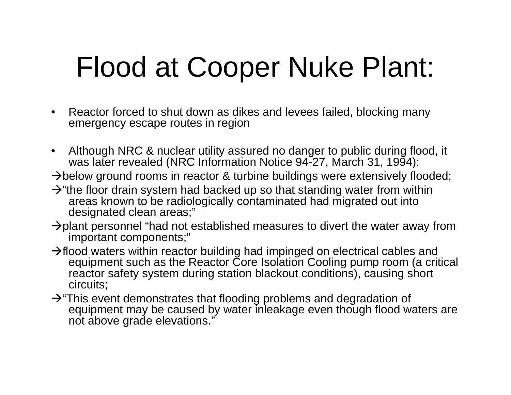# Flood at Cooper Nuke Plant:

- $\bullet$  Reactor forced to shut down as dikes and levees failed, blocking many emergency escape routes in region
- $\bullet$  Although NRC & nuclear utility assured no danger to public during flood, it was later revealed (NRC Information Notice 94-27, March 31, 1994):
- $\rightarrow$  below ground rooms in reactor & turbine buildings were extensively flooded;
- $\rightarrow$  "the floor drain system had backed up so that standing water from within areas known to be radiologically contaminated had migrated out into designated clean areas;"
- $\rightarrow$  plant personnel "had not established measures to divert the water away from important components;"
- $\rightarrow$  flood waters within reactor building had impinged on electrical cables and equipment such as the Reactor Core Isolation Cooling pump room (a critical reactor safety system during station blackout conditions), causing short circuits;
- $\rightarrow$  "This event demonstrates that flooding problems and degradation of equipment may be caused by water inleakage even though flood waters are not above grade elevations."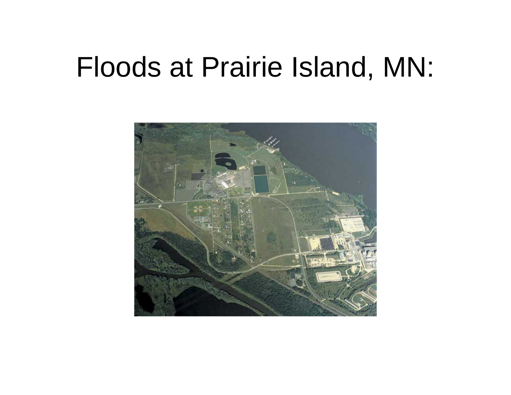#### Floods at Prairie Island, MN:

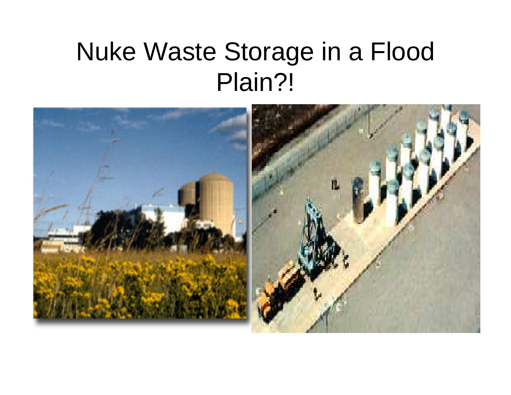#### Nuke Waste Storage in a Flood Plain?!

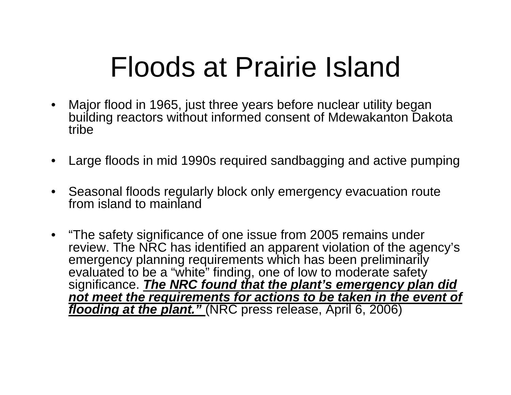## Floods at Prairie Island

- $\bullet$  Major flood in 1965, just three years before nuclear utility began building reactors without informed consent of Mdewakanton Dakota tribe
- •Large floods in mid 1990s required sandbagging and active pumping
- $\bullet$  Seasonal floods regularly block only emergency evacuation route from island to mainland
- "The safety significance of one issue from 2005 remains under review. The NRC has identified an apparent violation of the agency's emergency planning requirements which has been preliminarily evaluated to be a "white" finding, one of low to moderate safety significance. *The NRC found that the plant's emergency plan did not meet the requirements for actions to be taken in the event of flooding at the plant."* (NRC press release, April 6, 2006)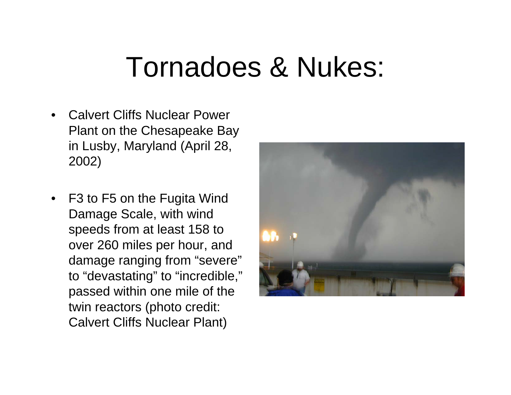#### Tornadoes & Nukes:

- • Calvert Cliffs Nuclear Power Plant on the Chesapeake Bay in Lusby, Maryland (April 28, 2002)
- F3 to F5 on the Fugita Wind Damage Scale, with wind speeds from at least 158 to over 260 miles per hour, and damage ranging from "severe" to "devastating" to "incredible," passed within one mile of the twin reactors (photo credit: Calvert Cliffs Nuclear Plant)

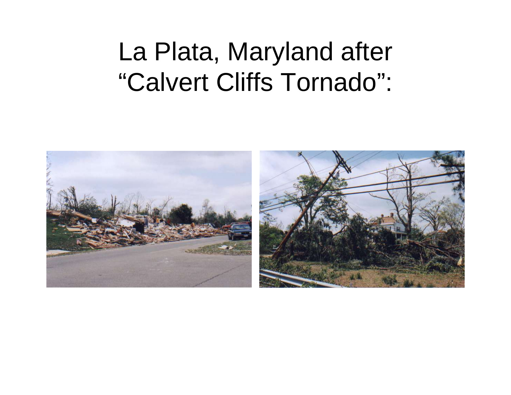#### La Plata, Maryland after "Calvert Cliffs Tornado":

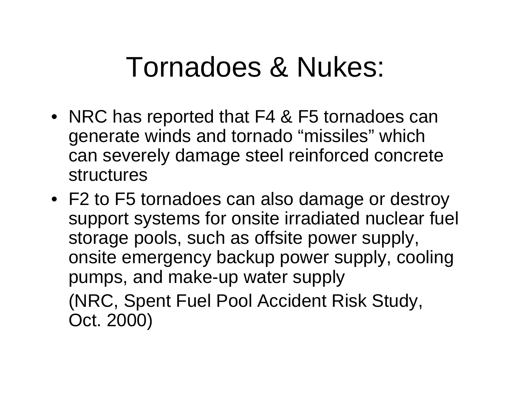## Tornadoes & Nukes:

- NRC has reported that F4 & F5 tornadoes can generate winds and tornado "missiles" which can severely damage steel reinforced concrete structures
- F2 to F5 tornadoes can also damage or destroy support systems for onsite irradiated nuclear fuel storage pools, such as offsite power supply, onsite emergency backup power supply, cooling pumps, and make-up water supply (NRC, Spent Fuel Pool Accident Risk Study, Oct. 2000)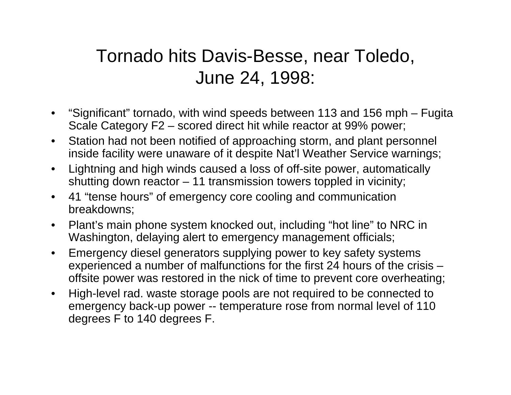#### Tornado hits Davis-Besse, near Toledo, June 24, 1998:

- • "Significant" tornado, with wind speeds between 113 and 156 mph – Fugita Scale Category F2 – scored direct hit while reactor at 99% power;
- $\bullet$  Station had not been notified of approaching storm, and plant personnel inside facility were unaware of it despite Nat'l Weather Service warnings;
- $\bullet$  Lightning and high winds caused a loss of off-site power, automatically shutting down reactor – 11 transmission towers toppled in vicinity;
- $\bullet$  41 "tense hours" of emergency core cooling and communication breakdowns;
- $\bullet$  Plant's main phone system knocked out, including "hot line" to NRC in Washington, delaying alert to emergency management officials;
- $\bullet$  Emergency diesel generators supplying power to key safety systems experienced a number of malfunctions for the first 24 hours of the crisis – offsite power was restored in the nick of time to prevent core overheating;
- $\bullet$  High-level rad. waste storage pools are not required to be connected to emergency back-up power -- temperature rose from normal level of 110 degrees F to 140 degrees F.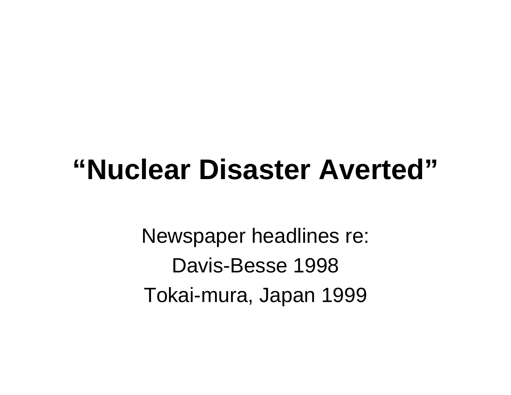## **"Nuclear Disaster Averted"**

Newspaper headlines re: Davis-Besse 1998 Tokai-mura, Japan 1999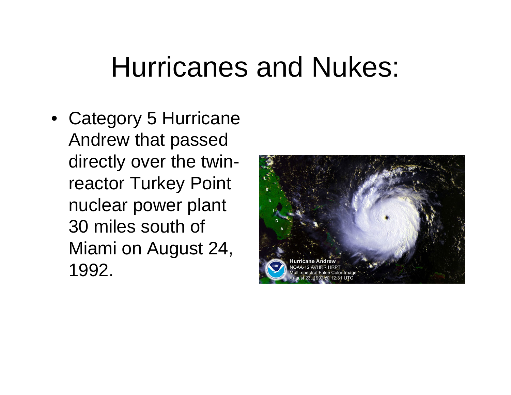### Hurricanes and Nukes:

• Category 5 Hurricane Andrew that passed directly over the twinreactor Turkey Point nuclear power plant 30 miles south of Miami on August 24, 1992.

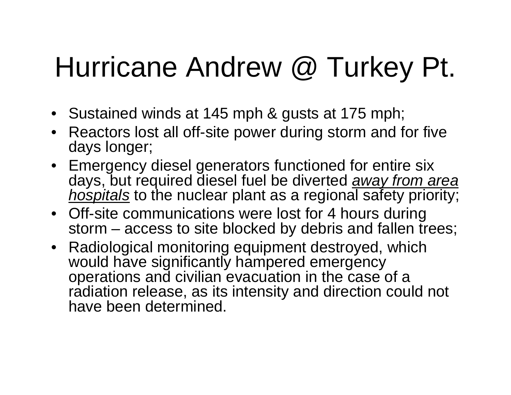# Hurricane Andrew @ Turkey Pt.

- Sustained winds at 145 mph & gusts at 175 mph;
- Reactors lost all off-site power during storm and for five days longer;
- Emergency diesel generators functioned for entire six days, but required diesel fuel be diverted *away from area hospitals* to the nuclear plant as a regional safety priority;
- Off-site communications were lost for 4 hours during storm – access to site blocked by debris and fallen trees;
- Radiological monitoring equipment destroyed, which would have significantly hampered emergency operations and civilian evacuation in the case of a radiation release, as its intensity and direction could not have been determined.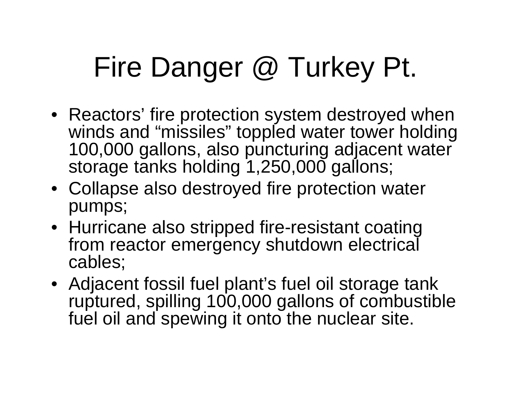# Fire Danger @ Turkey Pt.

- Reactors' fire protection system destroyed when winds and "missiles" toppled water tower holding 100,000 gallons, also puncturing adjacent water storage tanks holding 1,250,000 gallons;
- Collapse also destroyed fire protection water pumps;
- Hurricane also stripped fire-resistant coating from reactor emergency shutdown electrical cables;
- Adjacent fossil fuel plant's fuel oil storage tank ruptured, spilling 100,000 gallons of combustible fuel oil and spewing it onto the nuclear site.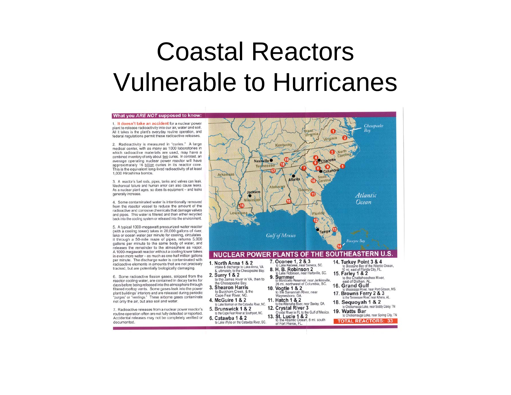#### Coastal Reactors Vulnerable to Hurricanes

#### What you ARE NOT supposed to know:

1. It doesn't take an accident for a nuclear power plant to release radioactivity into our air, water and soil. All it takes is the plant's everyday routine operation, and federal regulations permit these radioactive releases.

2. Radioactivity is measured in "curies." A large medical center, with as many as 1000 laboratories in which radioactive materials are used, may have a combined inventory of only about two curies. In contrast, an average operating nuclear power reactor will have approximately 16 billion curies in its reactor core. This is the equivalent long-lived radioactivity of at least 1,000 Hiroshima bombs.

3. A reactor's fuel rods, pipes, tanks and valves can leak. Mechanical failure and human error can also cause leaks. As a nuclear plant ages, so does its equipment - and leaks generally increase.

4. Some contaminated water is intentionally removed from the reactor vessel to reduce the amount of the radioactive and corrosive chemicals that damage valves and pipes. This water is filtered and then either recycled back into the cooling system or released into the environment.

5. A typical 1000-megawatt pressurized-water reactor (with a cooling tower) takes in 20,000 gallons of river, lake or ocean water per minute for cooling, circulates it through a 50-mile maze of pipes, returns 5,000 gallons per minute to the same body of water, and releases the remainder to the atmosphere as vapor. A 1000-megawatt reactor without a cooling tower takes in even more water - as much as one-half million gallons per minute. The discharge water is contaminated with radioactive elements in amounts that are not precisely tracked, but are potentially biologically damaging.

6. Some radioactive fission gases, stripped from the reactor cooling water, are contained in decay tanks for days before being released into the atmosphere through filtered rooftop vents. Some gases leak into the power plant buildings' interiors and are released during periodic "purges" or "ventings." These airborne gases contaminate not only the air, but also soil and water.

7. Radioactive releases from a nuclear power reactor's routine operation often are not fully detected or reported. Accidental releases may not be completely verified or documented.

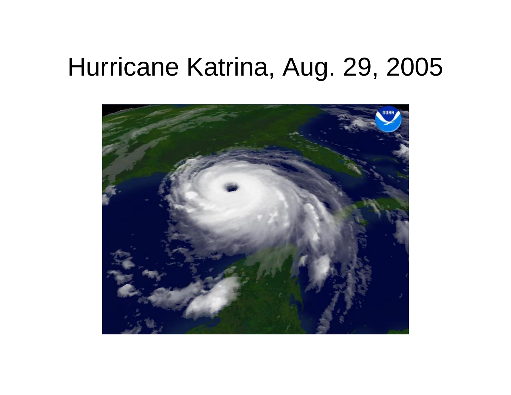#### Hurricane Katrina, Aug. 29, 2005

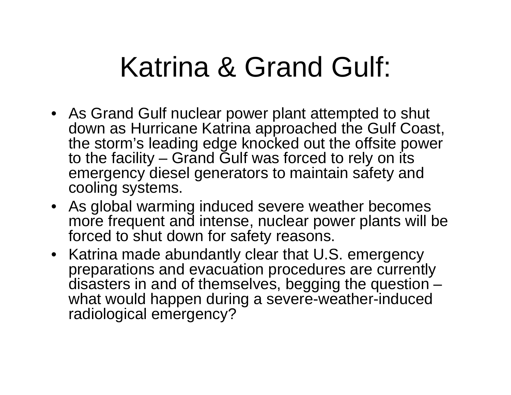## Katrina & Grand Gulf:

- As Grand Gulf nuclear power plant attempted to shut down as Hurricane Katrina approached the Gulf Coast, the storm's leading edge knocked out the offsite power to the facility – Grand Gulf was forced to rely on its emergency diesel generators to maintain safety and cooling systems.
- As global warming induced severe weather becomes more frequent and intense, nuclear power plants will be forced to shut down for safety reasons.
- Katrina made abundantly clear that U.S. emergency preparations and evacuation procedures are currently disasters in and of themselves, begging the question – what would happen during a severe-weather-induced radiological emergency?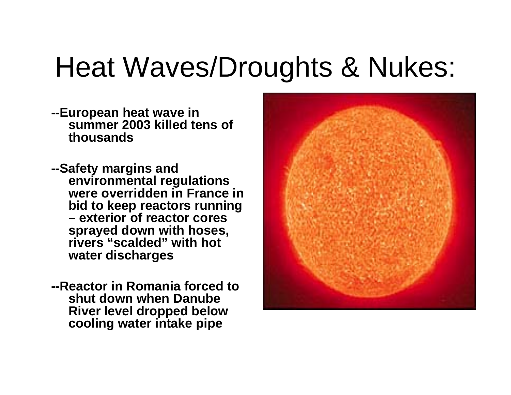## Heat Waves/Droughts & Nukes:

- **--European heat wave in summer 2003 killed tens of thousands**
- **--Safety margins and environmental regulations were overridden in France in bid to keep reactors running – exterior of reactor cores sprayed down with hoses, rivers "scalded" with hot water discharges**
- **--Reactor in Romania forced to shut down when Danube River level dropped below cooling water intake pipe**

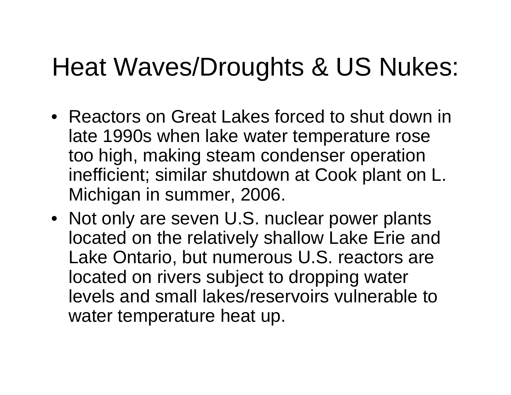#### Heat Waves/Droughts & US Nukes:

- Reactors on Great Lakes forced to shut down in late 1990s when lake water temperature rose too high, making steam condenser operation inefficient; similar shutdown at Cook plant on L. Michigan in summer, 2006.
- Not only are seven U.S. nuclear power plants located on the relatively shallow Lake Erie and Lake Ontario, but numerous U.S. reactors are located on rivers subject to dropping water levels and small lakes/reservoirs vulnerable to water temperature heat up.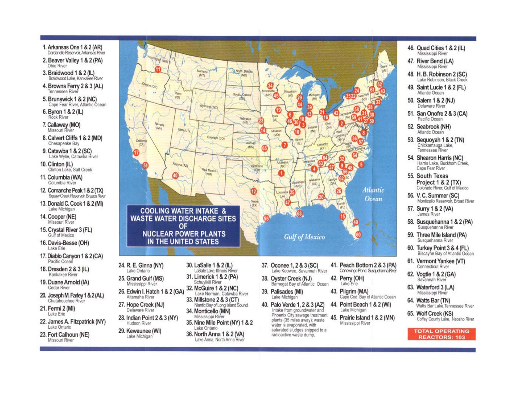- 1. Arkansas One 1 & 2 (AR) Dardanelle Reservoir, Arkansas River
- 2. Beaver Valley 1 & 2 (PA) Ohio River
- 3. Braidwood 1 & 2 (IL) Braidwood Lake, Kankakee River
- 4. Browns Ferry 2 & 3 (AL) Tennessee River
- 5. Brunswick 1 & 2 (NC) Cape Fear River, Atlantic Ocean
- 6. Byron 1 & 2 (IL) Rock River
- 7. Callaway (MO) Missouri River
- 8. Calvert Cliffs 1 & 2 (MD) Chesapeake Bay
- 9. Catawba 1 & 2 (SC) Lake Wylie, Catawba River
- 10. Clinton (IL) Clinton Lake, Salt Creek
- 11. Columbia (WA) Columbia River
- 12. Comanche Peak 1 & 2 (TX) Squaw Creek Reservoir, Brazos River
- 13. Donald C. Cook 1 & 2 (MI) Lake Michigan
- 14. Cooper (NE) Missouri River
- 15. Crystal River 3 (FL) Gulf of Mexico
- 16. Davis-Besse (OH) Lake Erie
- 17. Diablo Canyon 1 & 2 (CA) Pacific Ocean
- 18. Dresden 2 & 3 (IL) Kankakee River
- 19. Duane Arnold (IA) Cedar River
- 20. Joseph M. Farley 1 & 2 (AL) Chatahoochee River
- 21. Fermi 2 (MI) Lake Erie
- 22. James A. Fitzpatrick (NY) Lake Ontario

29. Kewaunee (WI)

Lake Michigan

23. Fort Calhoun (NE) Missouri River



saturated sludges shipped to a

radioactive waste dump.

65. Wolf Creek (KS) Coffey County Lake, Neosho River

46. Quad Cities 1 & 2 (IL)

Mississippi River

Mississippi River

48. H. B. Robinson 2 (SC)

49. Saint Lucie 1 & 2 (FL)

51. San Onofre 2 & 3 (CA)

53. Sequoyah 1 & 2 (TN)

Chickamauga Lake,<br>Tennessee River

54. Shearon Harris (NC) Harris Lake, Buckhorn Creek,

Project 1 & 2 (TX)

58. Susquehanna 1 & 2 (PA)

Susquehanna River

59. Three Mile Island (PA)

60. Turkey Point 3 & 4 (FL) Biscayne Bay of Atlantic Ocean

61. Vermont Yankee (VT)

Connecticut River

62. Vogtle 1 & 2 (GA)

Savannah River

63. Waterford 3 (LA)

64. Watts Bar (TN)

Mississippi River

Susquehanna River

Colorado River, Gulf of Mexico

Monticello Reservoir, Broad River

Cape Fear River

56. V. C. Summer (SC)

57. Surry 1 & 2 (VA)

James River

55. South Texas

Lake Robinson, Black Creek

47. River Bend (LA)

Atlantic Ocean

50. Salem 1 & 2 (NJ)

Delaware River

Pacific Ocean

52. Seabrook (NH)

Atlantic Ocean

**TOTAL OPERATING REACTORS: 103** 

Watts Bar Lake Tennessee River

Lake Ontario 36. North Anna 1 & 2 (VA) Lake Anna, North Anna River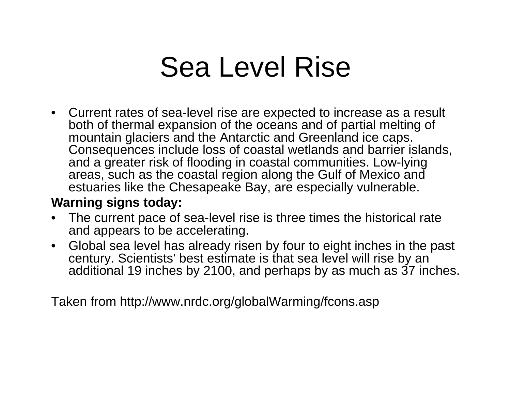## Sea Level Rise

• Current rates of sea-level rise are expected to increase as a result both of thermal expansion of the oceans and of partial melting of mountain glaciers and the Antarctic and Greenland ice caps. Consequences include loss of coastal wetlands and barrier islands, and a greater risk of flooding in coastal communities. Low-lying areas, such as the coastal region along the Gulf of Mexico and estuaries like the Chesapeake Bay, are especially vulnerable.

#### **Warning signs today:**

- • The current pace of sea-level rise is three times the historical rate and appears to be accelerating.
- $\bullet$  Global sea level has already risen by four to eight inches in the past century. Scientists' best estimate is that sea level will rise by an additional 19 inches by 2100, and perhaps by as much as 37 inches.

Taken from http://www.nrdc.org/globalWarming/fcons.asp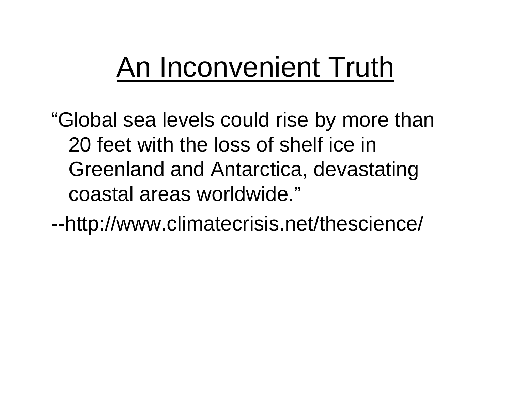## An Inconvenient Truth

"Global sea levels could rise by more than 20 feet with the loss of shelf ice in Greenland and Antarctica, devastating coastal areas worldwide."

--http://www.climatecrisis.net/thescience/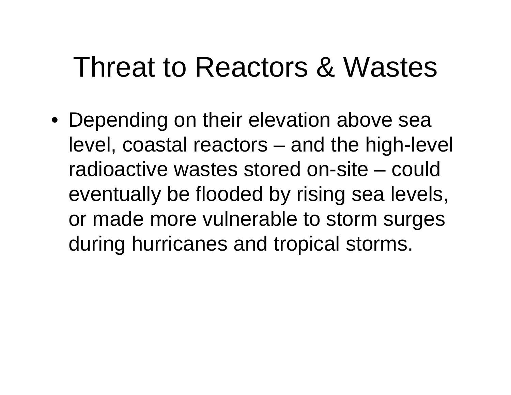## Threat to Reactors & Wastes

• Depending on their elevation above sea level, coastal reactors – and the high-level radioactive wastes stored on-site – could eventually be flooded by rising sea levels, or made more vulnerable to storm surges during hurricanes and tropical storms.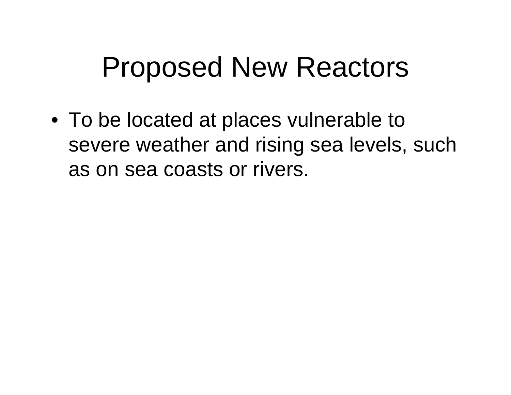## Proposed New Reactors

• To be located at places vulnerable to severe weather and rising sea levels, such as on sea coasts or rivers.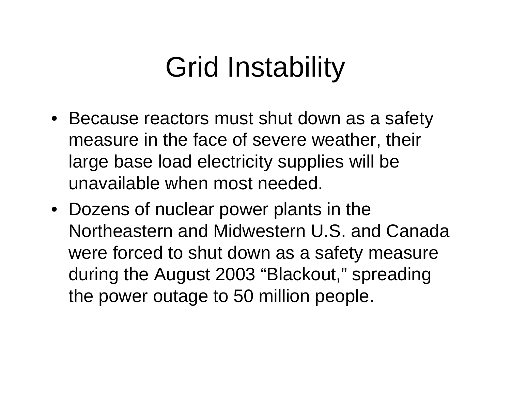# Grid Instability

- Because reactors must shut down as a safety measure in the face of severe weather, their large base load electricity supplies will be unavailable when most needed.
- Dozens of nuclear power plants in the Northeastern and Midwestern U.S. and Canada were forced to shut down as a safety measure during the August 2003 "Blackout," spreading the power outage to 50 million people.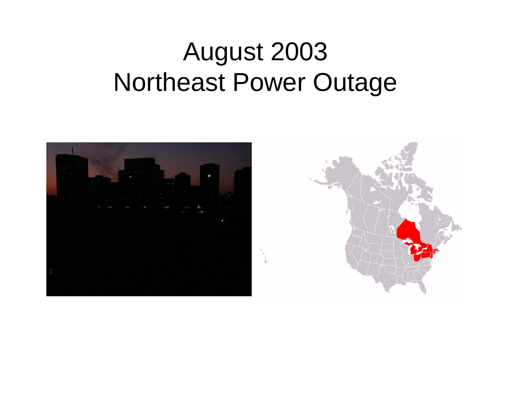#### August 2003 Northeast Power Outage

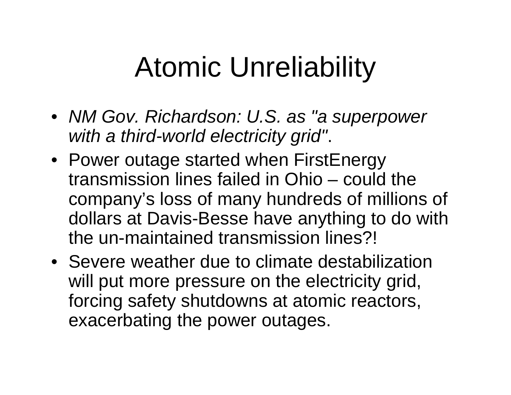## Atomic Unreliability

- *NM Gov. Richardson: U.S. as "a superpower with a third-world electricity grid"*.
- Power outage started when FirstEnergy transmission lines failed in Ohio – could the company's loss of many hundreds of millions of dollars at Davis-Besse have anything to do with the un-maintained transmission lines?!
- Severe weather due to climate destabilization will put more pressure on the electricity grid, forcing safety shutdowns at atomic reactors, exacerbating the power outages.